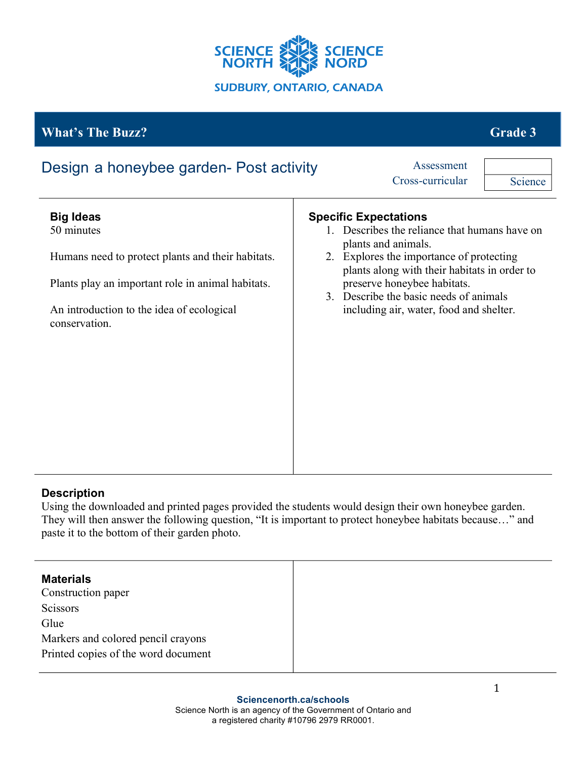

# *What's The Buzz?* **<b>Grade 3 Grade 3**

| Design a honeybee garden- Post activity                                                                                                                                                                | Assessment<br>Cross-curricular<br>Science                                                                                                                                                                                                                                                                            |
|--------------------------------------------------------------------------------------------------------------------------------------------------------------------------------------------------------|----------------------------------------------------------------------------------------------------------------------------------------------------------------------------------------------------------------------------------------------------------------------------------------------------------------------|
| <b>Big Ideas</b><br>50 minutes<br>Humans need to protect plants and their habitats.<br>Plants play an important role in animal habitats.<br>An introduction to the idea of ecological<br>conservation. | <b>Specific Expectations</b><br>1. Describes the reliance that humans have on<br>plants and animals.<br>2. Explores the importance of protecting<br>plants along with their habitats in order to<br>preserve honeybee habitats.<br>3. Describe the basic needs of animals<br>including air, water, food and shelter. |
|                                                                                                                                                                                                        |                                                                                                                                                                                                                                                                                                                      |

## **Description**

Using the downloaded and printed pages provided the students would design their own honeybee garden. They will then answer the following question, "It is important to protect honeybee habitats because…" and paste it to the bottom of their garden photo.

| <b>Materials</b><br>Construction paper |  |
|----------------------------------------|--|
| Scissors                               |  |
| Glue                                   |  |
| Markers and colored pencil crayons     |  |
| Printed copies of the word document    |  |
|                                        |  |